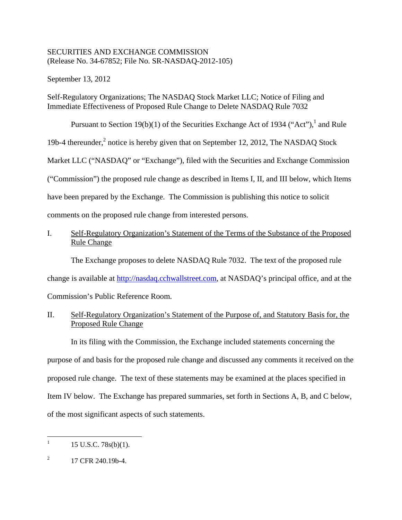## SECURITIES AND EXCHANGE COMMISSION (Release No. 34-67852; File No. SR-NASDAQ-2012-105)

September 13, 2012

# Self-Regulatory Organizations; The NASDAQ Stock Market LLC; Notice of Filing and Immediate Effectiveness of Proposed Rule Change to Delete NASDAQ Rule 7032

Pursuant to Section 19(b)(1) of the Securities Exchange Act of 1934 ("Act"),  $^1$  and Rule 19b-4 thereunder,<sup>2</sup> notice is hereby given that on September 12, 2012, The NASDAQ Stock

Market LLC ("NASDAQ" or "Exchange"), filed with the Securities and Exchange Commission

("Commission") the proposed rule change as described in Items I, II, and III below, which Items

have been prepared by the Exchange. The Commission is publishing this notice to solicit

comments on the proposed rule change from interested persons.

# I. Self-Regulatory Organization's Statement of the Terms of the Substance of the Proposed Rule Change

The Exchange proposes to delete NASDAQ Rule 7032. The text of the proposed rule

change is available at http://nasdaq.cchwallstreet.com, at NASDAQ's principal office, and at the

Commission's Public Reference Room.

# II. Self-Regulatory Organization's Statement of the Purpose of, and Statutory Basis for, the Proposed Rule Change

In its filing with the Commission, the Exchange included statements concerning the purpose of and basis for the proposed rule change and discussed any comments it received on the proposed rule change. The text of these statements may be examined at the places specified in Item IV below. The Exchange has prepared summaries, set forth in Sections A, B, and C below, of the most significant aspects of such statements.

 $\mathbf{1}$ 15 U.S.C. 78s(b)(1).

 $\boldsymbol{2}$ 2 17 CFR 240.19b-4.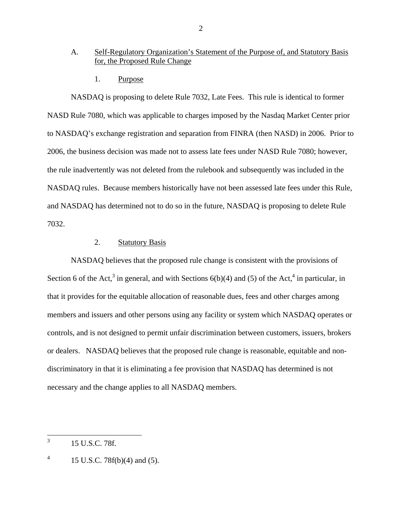### A. Self-Regulatory Organization's Statement of the Purpose of, and Statutory Basis for, the Proposed Rule Change

1. Purpose

NASDAQ is proposing to delete Rule 7032, Late Fees. This rule is identical to former NASD Rule 7080, which was applicable to charges imposed by the Nasdaq Market Center prior to NASDAQ's exchange registration and separation from FINRA (then NASD) in 2006. Prior to 2006, the business decision was made not to assess late fees under NASD Rule 7080; however, the rule inadvertently was not deleted from the rulebook and subsequently was included in the NASDAQ rules. Because members historically have not been assessed late fees under this Rule, and NASDAQ has determined not to do so in the future, NASDAQ is proposing to delete Rule 7032.

## 2. Statutory Basis

NASDAQ believes that the proposed rule change is consistent with the provisions of Section 6 of the Act,<sup>3</sup> in general, and with Sections  $6(b)(4)$  and (5) of the Act,<sup>4</sup> in particular, in that it provides for the equitable allocation of reasonable dues, fees and other charges among members and issuers and other persons using any facility or system which NASDAQ operates or controls, and is not designed to permit unfair discrimination between customers, issuers, brokers or dealers. NASDAQ believes that the proposed rule change is reasonable, equitable and nondiscriminatory in that it is eliminating a fee provision that NASDAQ has determined is not necessary and the change applies to all NASDAQ members.

 $\overline{a}$ 

<sup>3 15</sup> U.S.C. 78f.

 $\overline{4}$ 4 15 U.S.C. 78f(b)(4) and (5).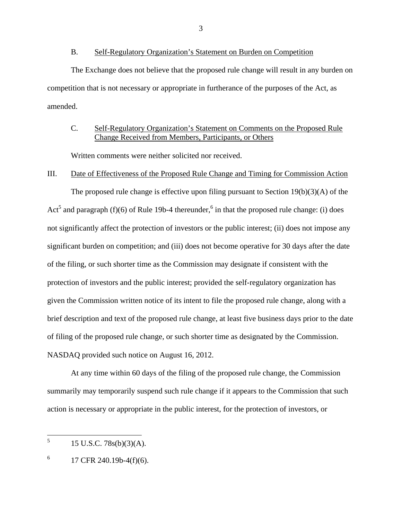#### B. Self-Regulatory Organization's Statement on Burden on Competition

The Exchange does not believe that the proposed rule change will result in any burden on competition that is not necessary or appropriate in furtherance of the purposes of the Act, as amended.

### C. Self-Regulatory Organization's Statement on Comments on the Proposed Rule Change Received from Members, Participants, or Others

Written comments were neither solicited nor received.

### III. Date of Effectiveness of the Proposed Rule Change and Timing for Commission Action

The proposed rule change is effective upon filing pursuant to Section  $19(b)(3)(A)$  of the Act<sup>5</sup> and paragraph (f)(6) of Rule 19b-4 thereunder,<sup>6</sup> in that the proposed rule change: (i) does not significantly affect the protection of investors or the public interest; (ii) does not impose any significant burden on competition; and (iii) does not become operative for 30 days after the date of the filing, or such shorter time as the Commission may designate if consistent with the protection of investors and the public interest; provided the self-regulatory organization has given the Commission written notice of its intent to file the proposed rule change, along with a brief description and text of the proposed rule change, at least five business days prior to the date of filing of the proposed rule change, or such shorter time as designated by the Commission. NASDAQ provided such notice on August 16, 2012.

At any time within 60 days of the filing of the proposed rule change, the Commission summarily may temporarily suspend such rule change if it appears to the Commission that such action is necessary or appropriate in the public interest, for the protection of investors, or

 $\overline{a}$ 

<sup>5 15</sup> U.S.C. 78s(b)(3)(A).

 $\sqrt{6}$ 6 17 CFR 240.19b-4(f)(6).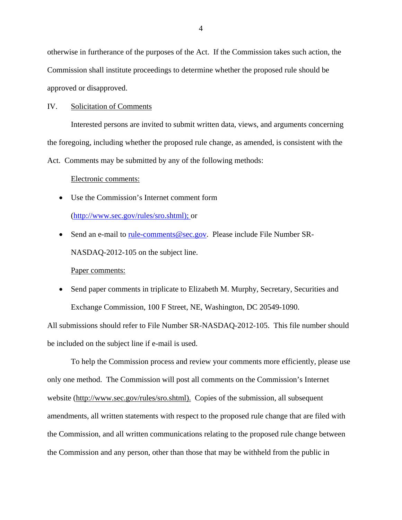otherwise in furtherance of the purposes of the Act. If the Commission takes such action, the Commission shall institute proceedings to determine whether the proposed rule should be approved or disapproved.

#### IV. Solicitation of Comments

Interested persons are invited to submit written data, views, and arguments concerning the foregoing, including whether the proposed rule change, as amended, is consistent with the Act. Comments may be submitted by any of the following methods:

#### Electronic comments:

Use the Commission's Internet comment form

(http://www.sec.gov/rules/sro.shtml); or

• Send an e-mail to <u>rule-comments@sec.gov</u>. Please include File Number SR-NASDAQ-2012-105 on the subject line.

Paper comments:

• Send paper comments in triplicate to Elizabeth M. Murphy, Secretary, Securities and Exchange Commission, 100 F Street, NE, Washington, DC 20549-1090.

All submissions should refer to File Number SR-NASDAQ-2012-105. This file number should be included on the subject line if e-mail is used.

To help the Commission process and review your comments more efficiently, please use only one method. The Commission will post all comments on the Commission's Internet website (http://www.sec.gov/rules/sro.shtml). Copies of the submission, all subsequent amendments, all written statements with respect to the proposed rule change that are filed with the Commission, and all written communications relating to the proposed rule change between the Commission and any person, other than those that may be withheld from the public in